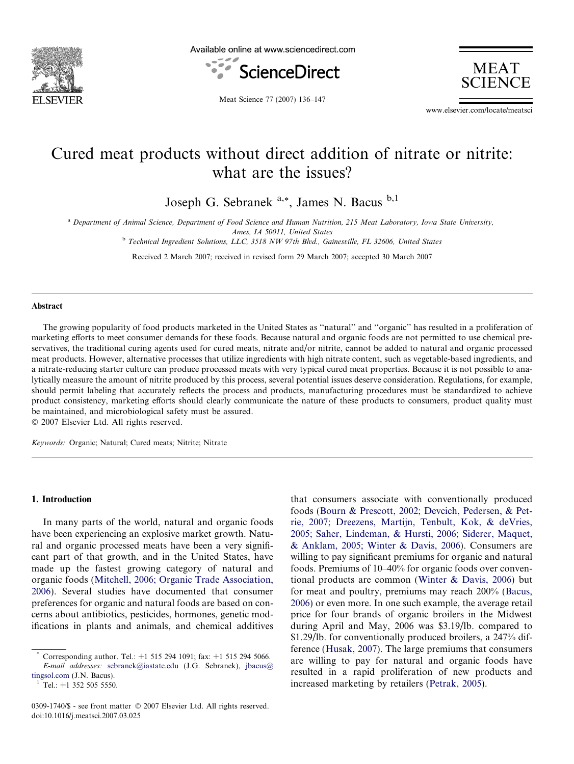

Available online at www.sciencedirect.com



MEAT **SCIENCE** 

Meat Science 77 (2007) 136–147

www.elsevier.com/locate/meatsci

# Cured meat products without direct addition of nitrate or nitrite: what are the issues?

Joseph G. Sebranek  $a_{\alpha *}$ , James N. Bacus  $b_{\alpha}$ , J

<sup>a</sup> Department of Animal Science, Department of Food Science and Human Nutrition, 215 Meat Laboratory, Iowa State University,

Ames, IA 50011, United States

<sup>b</sup> Technical Ingredient Solutions, LLC, 3518 NW 97th Blvd., Gainesville, FL 32606, United States

Received 2 March 2007; received in revised form 29 March 2007; accepted 30 March 2007

#### Abstract

The growing popularity of food products marketed in the United States as ''natural'' and ''organic'' has resulted in a proliferation of marketing efforts to meet consumer demands for these foods. Because natural and organic foods are not permitted to use chemical preservatives, the traditional curing agents used for cured meats, nitrate and/or nitrite, cannot be added to natural and organic processed meat products. However, alternative processes that utilize ingredients with high nitrate content, such as vegetable-based ingredients, and a nitrate-reducing starter culture can produce processed meats with very typical cured meat properties. Because it is not possible to analytically measure the amount of nitrite produced by this process, several potential issues deserve consideration. Regulations, for example, should permit labeling that accurately reflects the process and products, manufacturing procedures must be standardized to achieve product consistency, marketing efforts should clearly communicate the nature of these products to consumers, product quality must be maintained, and microbiological safety must be assured.

 $© 2007 Elsevier Ltd. All rights reserved.$ 

Keywords: Organic; Natural; Cured meats; Nitrite; Nitrate

## 1. Introduction

In many parts of the world, natural and organic foods have been experiencing an explosive market growth. Natural and organic processed meats have been a very significant part of that growth, and in the United States, have made up the fastest growing category of natural and organic foods ([Mitchell, 2006; Organic Trade Association,](#page-11-0) [2006\)](#page-11-0). Several studies have documented that consumer preferences for organic and natural foods are based on concerns about antibiotics, pesticides, hormones, genetic modifications in plants and animals, and chemical additives that consumers associate with conventionally produced foods [\(Bourn & Prescott, 2002; Devcich, Pedersen, & Pet](#page-10-0)[rie, 2007; Dreezens, Martijn, Tenbult, Kok, & deVries,](#page-10-0) [2005; Saher, Lindeman, & Hursti, 2006; Siderer, Maquet,](#page-10-0) [& Anklam, 2005; Winter & Davis, 2006\)](#page-10-0). Consumers are willing to pay significant premiums for organic and natural foods. Premiums of 10–40% for organic foods over conventional products are common [\(Winter & Davis, 2006\)](#page-11-0) but for meat and poultry, premiums may reach 200% ([Bacus,](#page-10-0) [2006\)](#page-10-0) or even more. In one such example, the average retail price for four brands of organic broilers in the Midwest during April and May, 2006 was \$3.19/lb. compared to \$1.29/lb. for conventionally produced broilers, a 247% difference ([Husak, 2007](#page-10-0)). The large premiums that consumers are willing to pay for natural and organic foods have resulted in a rapid proliferation of new products and increased marketing by retailers ([Petrak, 2005\)](#page-11-0).

Corresponding author. Tel.: +1 515 294 1091; fax: +1 515 294 5066. E-mail addresses: [sebranek@iastate.edu](mailto:sebranek@iastate.edu) (J.G. Sebranek), [jbacus@](mailto:jbacus@tingsol.com) [tingsol.com](mailto:jbacus@tingsol.com) (J.N. Bacus).<br> $^{1}$  Tel.: +1 352 505 5550.

<sup>0309-1740/\$ -</sup> see front matter © 2007 Elsevier Ltd. All rights reserved. doi:10.1016/j.meatsci.2007.03.025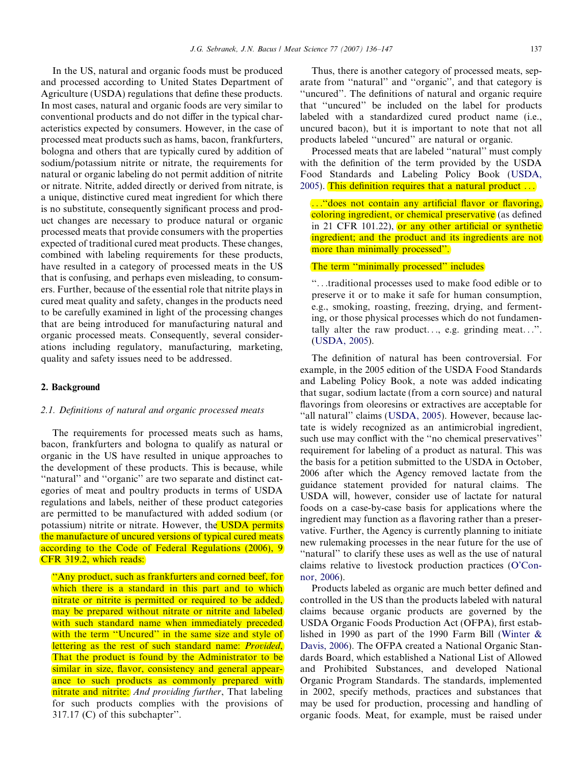In the US, natural and organic foods must be produced and processed according to United States Department of Agriculture (USDA) regulations that define these products. In most cases, natural and organic foods are very similar to conventional products and do not differ in the typical characteristics expected by consumers. However, in the case of processed meat products such as hams, bacon, frankfurters, bologna and others that are typically cured by addition of sodium/potassium nitrite or nitrate, the requirements for natural or organic labeling do not permit addition of nitrite or nitrate. Nitrite, added directly or derived from nitrate, is a unique, distinctive cured meat ingredient for which there is no substitute, consequently significant process and product changes are necessary to produce natural or organic processed meats that provide consumers with the properties expected of traditional cured meat products. These changes, combined with labeling requirements for these products, have resulted in a category of processed meats in the US that is confusing, and perhaps even misleading, to consumers. Further, because of the essential role that nitrite plays in cured meat quality and safety, changes in the products need to be carefully examined in light of the processing changes that are being introduced for manufacturing natural and organic processed meats. Consequently, several considerations including regulatory, manufacturing, marketing, quality and safety issues need to be addressed.

## 2. Background

## 2.1. Definitions of natural and organic processed meats

The requirements for processed meats such as hams, bacon, frankfurters and bologna to qualify as natural or organic in the US have resulted in unique approaches to the development of these products. This is because, while "natural" and "organic" are two separate and distinct categories of meat and poultry products in terms of USDA regulations and labels, neither of these product categories are permitted to be manufactured with added sodium (or potassium) nitrite or nitrate. However, the USDA permits the manufacture of uncured versions of typical cured meats according to the [Code of Federal Regulations \(2006\)](#page-10-0), 9 CFR 319.2, which reads:

''Any product, such as frankfurters and corned beef, for which there is a standard in this part and to which nitrate or nitrite is permitted or required to be added, may be prepared without nitrate or nitrite and labeled with such standard name when immediately preceded with the term "Uncured" in the same size and style of lettering as the rest of such standard name: *Provided*, That the product is found by the Administrator to be similar in size, flavor, consistency and general appearance to such products as commonly prepared with nitrate and nitrite: And providing further, That labeling for such products complies with the provisions of 317.17 (C) of this subchapter''.

Thus, there is another category of processed meats, separate from ''natural'' and ''organic'', and that category is ''uncured''. The definitions of natural and organic require that ''uncured'' be included on the label for products labeled with a standardized cured product name (i.e., uncured bacon), but it is important to note that not all products labeled ''uncured'' are natural or organic.

Processed meats that are labeled ''natural'' must comply with the definition of the term provided by the USDA Food Standards and Labeling Policy Book [\(USDA,](#page-11-0) [2005](#page-11-0)). This definition requires that a natural product ...

..."does not contain any artificial flavor or flavoring, coloring ingredient, or chemical preservative (as defined in 21 CFR 101.22), or any other artificial or synthetic ingredient; and the product and its ingredients are not more than minimally processed''.

## The term "minimally processed" includes

''...traditional processes used to make food edible or to preserve it or to make it safe for human consumption, e.g., smoking, roasting, freezing, drying, and fermenting, or those physical processes which do not fundamentally alter the raw product..., e.g. grinding meat...''. ([USDA, 2005](#page-11-0)).

The definition of natural has been controversial. For example, in the 2005 edition of the USDA Food Standards and Labeling Policy Book, a note was added indicating that sugar, sodium lactate (from a corn source) and natural flavorings from oleoresins or extractives are acceptable for "all natural" claims ([USDA, 2005](#page-11-0)). However, because lactate is widely recognized as an antimicrobial ingredient, such use may conflict with the ''no chemical preservatives'' requirement for labeling of a product as natural. This was the basis for a petition submitted to the USDA in October, 2006 after which the Agency removed lactate from the guidance statement provided for natural claims. The USDA will, however, consider use of lactate for natural foods on a case-by-case basis for applications where the ingredient may function as a flavoring rather than a preservative. Further, the Agency is currently planning to initiate new rulemaking processes in the near future for the use of "natural" to clarify these uses as well as the use of natural claims relative to livestock production practices ([O'Con](#page-11-0)[nor, 2006](#page-11-0)).

Products labeled as organic are much better defined and controlled in the US than the products labeled with natural claims because organic products are governed by the USDA Organic Foods Production Act (OFPA), first established in 1990 as part of the 1990 Farm Bill ([Winter &](#page-11-0) [Davis, 2006\)](#page-11-0). The OFPA created a National Organic Standards Board, which established a National List of Allowed and Prohibited Substances, and developed National Organic Program Standards. The standards, implemented in 2002, specify methods, practices and substances that may be used for production, processing and handling of organic foods. Meat, for example, must be raised under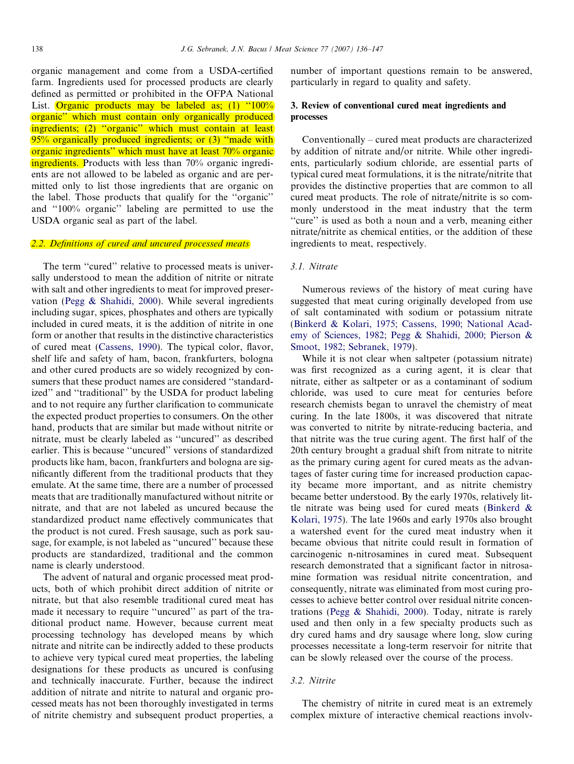organic management and come from a USDA-certified farm. Ingredients used for processed products are clearly defined as permitted or prohibited in the OFPA National List. Organic products may be labeled as;  $(1)$  " $100\%$ organic'' which must contain only organically produced ingredients; (2) "organic" which must contain at least 95% organically produced ingredients; or (3) ''made with organic ingredients'' which must have at least 70% organic ingredients. Products with less than 70% organic ingredients are not allowed to be labeled as organic and are permitted only to list those ingredients that are organic on the label. Those products that qualify for the ''organic'' and ''100% organic'' labeling are permitted to use the USDA organic seal as part of the label.

#### 2.2. Definitions of cured and uncured processed meats

The term ''cured'' relative to processed meats is universally understood to mean the addition of nitrite or nitrate with salt and other ingredients to meat for improved preservation [\(Pegg & Shahidi, 2000\)](#page-11-0). While several ingredients including sugar, spices, phosphates and others are typically included in cured meats, it is the addition of nitrite in one form or another that results in the distinctive characteristics of cured meat [\(Cassens, 1990\)](#page-10-0). The typical color, flavor, shelf life and safety of ham, bacon, frankfurters, bologna and other cured products are so widely recognized by consumers that these product names are considered ''standardized'' and ''traditional'' by the USDA for product labeling and to not require any further clarification to communicate the expected product properties to consumers. On the other hand, products that are similar but made without nitrite or nitrate, must be clearly labeled as ''uncured'' as described earlier. This is because ''uncured'' versions of standardized products like ham, bacon, frankfurters and bologna are significantly different from the traditional products that they emulate. At the same time, there are a number of processed meats that are traditionally manufactured without nitrite or nitrate, and that are not labeled as uncured because the standardized product name effectively communicates that the product is not cured. Fresh sausage, such as pork sausage, for example, is not labeled as ''uncured'' because these products are standardized, traditional and the common name is clearly understood.

The advent of natural and organic processed meat products, both of which prohibit direct addition of nitrite or nitrate, but that also resemble traditional cured meat has made it necessary to require ''uncured'' as part of the traditional product name. However, because current meat processing technology has developed means by which nitrate and nitrite can be indirectly added to these products to achieve very typical cured meat properties, the labeling designations for these products as uncured is confusing and technically inaccurate. Further, because the indirect addition of nitrate and nitrite to natural and organic processed meats has not been thoroughly investigated in terms of nitrite chemistry and subsequent product properties, a number of important questions remain to be answered, particularly in regard to quality and safety.

# 3. Review of conventional cured meat ingredients and processes

Conventionally – cured meat products are characterized by addition of nitrate and/or nitrite. While other ingredients, particularly sodium chloride, are essential parts of typical cured meat formulations, it is the nitrate/nitrite that provides the distinctive properties that are common to all cured meat products. The role of nitrate/nitrite is so commonly understood in the meat industry that the term ''cure'' is used as both a noun and a verb, meaning either nitrate/nitrite as chemical entities, or the addition of these ingredients to meat, respectively.

## 3.1. Nitrate

Numerous reviews of the history of meat curing have suggested that meat curing originally developed from use of salt contaminated with sodium or potassium nitrate [\(Binkerd & Kolari, 1975; Cassens, 1990; National Acad](#page-10-0)[emy of Sciences, 1982; Pegg & Shahidi, 2000; Pierson &](#page-10-0) [Smoot, 1982; Sebranek, 1979](#page-10-0)).

While it is not clear when saltpeter (potassium nitrate) was first recognized as a curing agent, it is clear that nitrate, either as saltpeter or as a contaminant of sodium chloride, was used to cure meat for centuries before research chemists began to unravel the chemistry of meat curing. In the late 1800s, it was discovered that nitrate was converted to nitrite by nitrate-reducing bacteria, and that nitrite was the true curing agent. The first half of the 20th century brought a gradual shift from nitrate to nitrite as the primary curing agent for cured meats as the advantages of faster curing time for increased production capacity became more important, and as nitrite chemistry became better understood. By the early 1970s, relatively little nitrate was being used for cured meats ([Binkerd &](#page-10-0) [Kolari, 1975](#page-10-0)). The late 1960s and early 1970s also brought a watershed event for the cured meat industry when it became obvious that nitrite could result in formation of carcinogenic n-nitrosamines in cured meat. Subsequent research demonstrated that a significant factor in nitrosamine formation was residual nitrite concentration, and consequently, nitrate was eliminated from most curing processes to achieve better control over residual nitrite concentrations ([Pegg & Shahidi, 2000](#page-11-0)). Today, nitrate is rarely used and then only in a few specialty products such as dry cured hams and dry sausage where long, slow curing processes necessitate a long-term reservoir for nitrite that can be slowly released over the course of the process.

#### 3.2. Nitrite

The chemistry of nitrite in cured meat is an extremely complex mixture of interactive chemical reactions involv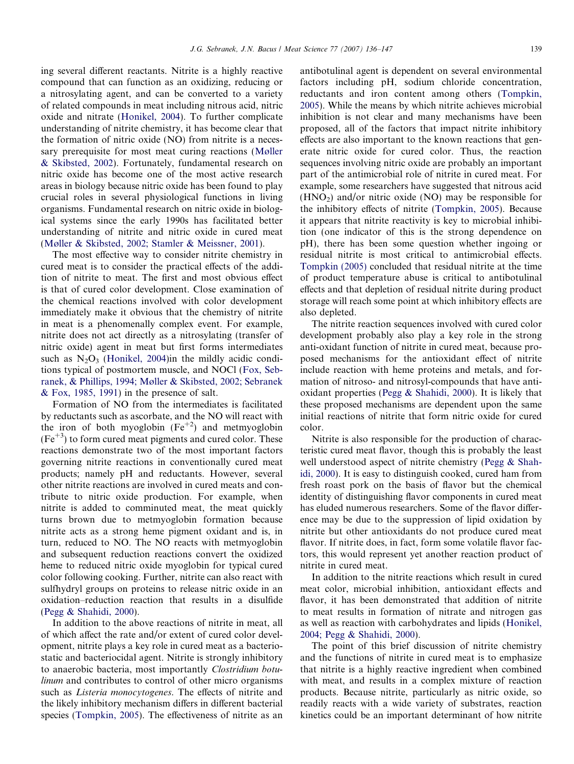ing several different reactants. Nitrite is a highly reactive compound that can function as an oxidizing, reducing or a nitrosylating agent, and can be converted to a variety of related compounds in meat including nitrous acid, nitric oxide and nitrate ([Honikel, 2004\)](#page-10-0). To further complicate understanding of nitrite chemistry, it has become clear that the formation of nitric oxide (NO) from nitrite is a necessary prerequisite for most meat curing reactions ([Møller](#page-11-0) [& Skibsted, 2002](#page-11-0)). Fortunately, fundamental research on nitric oxide has become one of the most active research areas in biology because nitric oxide has been found to play crucial roles in several physiological functions in living organisms. Fundamental research on nitric oxide in biological systems since the early 1990s has facilitated better understanding of nitrite and nitric oxide in cured meat ([Møller & Skibsted, 2002; Stamler & Meissner, 2001](#page-11-0)).

The most effective way to consider nitrite chemistry in cured meat is to consider the practical effects of the addition of nitrite to meat. The first and most obvious effect is that of cured color development. Close examination of the chemical reactions involved with color development immediately make it obvious that the chemistry of nitrite in meat is a phenomenally complex event. For example, nitrite does not act directly as a nitrosylating (transfer of nitric oxide) agent in meat but first forms intermediates such as  $N_2O_3$  ([Honikel, 2004](#page-10-0))in the mildly acidic conditions typical of postmortem muscle, and NOCl ([Fox, Seb](#page-10-0)[ranek, & Phillips, 1994; Møller & Skibsted, 2002; Sebranek](#page-10-0) [& Fox, 1985, 1991\)](#page-10-0) in the presence of salt.

Formation of NO from the intermediates is facilitated by reductants such as ascorbate, and the NO will react with the iron of both myoglobin  $(Fe^{+2})$  and metmyoglobin  $(Fe^{+3})$  to form cured meat pigments and cured color. These reactions demonstrate two of the most important factors governing nitrite reactions in conventionally cured meat products; namely pH and reductants. However, several other nitrite reactions are involved in cured meats and contribute to nitric oxide production. For example, when nitrite is added to comminuted meat, the meat quickly turns brown due to metmyoglobin formation because nitrite acts as a strong heme pigment oxidant and is, in turn, reduced to NO. The NO reacts with metmyoglobin and subsequent reduction reactions convert the oxidized heme to reduced nitric oxide myoglobin for typical cured color following cooking. Further, nitrite can also react with sulfhydryl groups on proteins to release nitric oxide in an oxidation–reduction reaction that results in a disulfide ([Pegg & Shahidi, 2000](#page-11-0)).

In addition to the above reactions of nitrite in meat, all of which affect the rate and/or extent of cured color development, nitrite plays a key role in cured meat as a bacteriostatic and bacteriocidal agent. Nitrite is strongly inhibitory to anaerobic bacteria, most importantly Clostridium botulinum and contributes to control of other micro organisms such as Listeria monocytogenes. The effects of nitrite and the likely inhibitory mechanism differs in different bacterial species [\(Tompkin, 2005](#page-11-0)). The effectiveness of nitrite as an antibotulinal agent is dependent on several environmental factors including pH, sodium chloride concentration, reductants and iron content among others [\(Tompkin,](#page-11-0) [2005](#page-11-0)). While the means by which nitrite achieves microbial inhibition is not clear and many mechanisms have been proposed, all of the factors that impact nitrite inhibitory effects are also important to the known reactions that generate nitric oxide for cured color. Thus, the reaction sequences involving nitric oxide are probably an important part of the antimicrobial role of nitrite in cured meat. For example, some researchers have suggested that nitrous acid  $(HNO<sub>2</sub>)$  and/or nitric oxide (NO) may be responsible for the inhibitory effects of nitrite ([Tompkin, 2005](#page-11-0)). Because it appears that nitrite reactivity is key to microbial inhibition (one indicator of this is the strong dependence on pH), there has been some question whether ingoing or residual nitrite is most critical to antimicrobial effects. [Tompkin \(2005\)](#page-11-0) concluded that residual nitrite at the time of product temperature abuse is critical to antibotulinal effects and that depletion of residual nitrite during product storage will reach some point at which inhibitory effects are also depleted.

The nitrite reaction sequences involved with cured color development probably also play a key role in the strong anti-oxidant function of nitrite in cured meat, because proposed mechanisms for the antioxidant effect of nitrite include reaction with heme proteins and metals, and formation of nitroso- and nitrosyl-compounds that have antioxidant properties ([Pegg & Shahidi, 2000\)](#page-11-0). It is likely that these proposed mechanisms are dependent upon the same initial reactions of nitrite that form nitric oxide for cured color.

Nitrite is also responsible for the production of characteristic cured meat flavor, though this is probably the least well understood aspect of nitrite chemistry ([Pegg & Shah](#page-11-0)[idi, 2000\)](#page-11-0). It is easy to distinguish cooked, cured ham from fresh roast pork on the basis of flavor but the chemical identity of distinguishing flavor components in cured meat has eluded numerous researchers. Some of the flavor difference may be due to the suppression of lipid oxidation by nitrite but other antioxidants do not produce cured meat flavor. If nitrite does, in fact, form some volatile flavor factors, this would represent yet another reaction product of nitrite in cured meat.

In addition to the nitrite reactions which result in cured meat color, microbial inhibition, antioxidant effects and flavor, it has been demonstrated that addition of nitrite to meat results in formation of nitrate and nitrogen gas as well as reaction with carbohydrates and lipids [\(Honikel,](#page-10-0) [2004; Pegg & Shahidi, 2000\)](#page-10-0).

The point of this brief discussion of nitrite chemistry and the functions of nitrite in cured meat is to emphasize that nitrite is a highly reactive ingredient when combined with meat, and results in a complex mixture of reaction products. Because nitrite, particularly as nitric oxide, so readily reacts with a wide variety of substrates, reaction kinetics could be an important determinant of how nitrite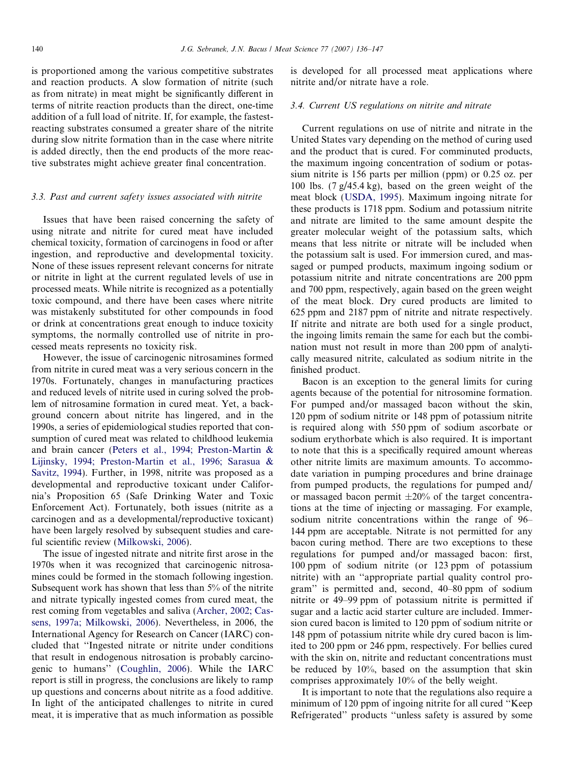is proportioned among the various competitive substrates and reaction products. A slow formation of nitrite (such as from nitrate) in meat might be significantly different in terms of nitrite reaction products than the direct, one-time addition of a full load of nitrite. If, for example, the fastestreacting substrates consumed a greater share of the nitrite during slow nitrite formation than in the case where nitrite is added directly, then the end products of the more reactive substrates might achieve greater final concentration.

## 3.3. Past and current safety issues associated with nitrite

Issues that have been raised concerning the safety of using nitrate and nitrite for cured meat have included chemical toxicity, formation of carcinogens in food or after ingestion, and reproductive and developmental toxicity. None of these issues represent relevant concerns for nitrate or nitrite in light at the current regulated levels of use in processed meats. While nitrite is recognized as a potentially toxic compound, and there have been cases where nitrite was mistakenly substituted for other compounds in food or drink at concentrations great enough to induce toxicity symptoms, the normally controlled use of nitrite in processed meats represents no toxicity risk.

However, the issue of carcinogenic nitrosamines formed from nitrite in cured meat was a very serious concern in the 1970s. Fortunately, changes in manufacturing practices and reduced levels of nitrite used in curing solved the problem of nitrosamine formation in cured meat. Yet, a background concern about nitrite has lingered, and in the 1990s, a series of epidemiological studies reported that consumption of cured meat was related to childhood leukemia and brain cancer ([Peters et al., 1994; Preston-Martin &](#page-11-0) [Lijinsky, 1994; Preston-Martin et al., 1996; Sarasua &](#page-11-0) [Savitz, 1994](#page-11-0)). Further, in 1998, nitrite was proposed as a developmental and reproductive toxicant under California's Proposition 65 (Safe Drinking Water and Toxic Enforcement Act). Fortunately, both issues (nitrite as a carcinogen and as a developmental/reproductive toxicant) have been largely resolved by subsequent studies and careful scientific review ([Milkowski, 2006](#page-11-0)).

The issue of ingested nitrate and nitrite first arose in the 1970s when it was recognized that carcinogenic nitrosamines could be formed in the stomach following ingestion. Subsequent work has shown that less than 5% of the nitrite and nitrate typically ingested comes from cured meat, the rest coming from vegetables and saliva ([Archer, 2002; Cas](#page-10-0)[sens, 1997a; Milkowski, 2006](#page-10-0)). Nevertheless, in 2006, the International Agency for Research on Cancer (IARC) concluded that ''Ingested nitrate or nitrite under conditions that result in endogenous nitrosation is probably carcinogenic to humans'' [\(Coughlin, 2006\)](#page-10-0). While the IARC report is still in progress, the conclusions are likely to ramp up questions and concerns about nitrite as a food additive. In light of the anticipated challenges to nitrite in cured meat, it is imperative that as much information as possible is developed for all processed meat applications where nitrite and/or nitrate have a role.

# 3.4. Current US regulations on nitrite and nitrate

Current regulations on use of nitrite and nitrate in the United States vary depending on the method of curing used and the product that is cured. For comminuted products, the maximum ingoing concentration of sodium or potassium nitrite is 156 parts per million (ppm) or 0.25 oz. per 100 lbs. (7 g/45.4 kg), based on the green weight of the meat block [\(USDA, 1995\)](#page-11-0). Maximum ingoing nitrate for these products is 1718 ppm. Sodium and potassium nitrite and nitrate are limited to the same amount despite the greater molecular weight of the potassium salts, which means that less nitrite or nitrate will be included when the potassium salt is used. For immersion cured, and massaged or pumped products, maximum ingoing sodium or potassium nitrite and nitrate concentrations are 200 ppm and 700 ppm, respectively, again based on the green weight of the meat block. Dry cured products are limited to 625 ppm and 2187 ppm of nitrite and nitrate respectively. If nitrite and nitrate are both used for a single product, the ingoing limits remain the same for each but the combination must not result in more than 200 ppm of analytically measured nitrite, calculated as sodium nitrite in the finished product.

Bacon is an exception to the general limits for curing agents because of the potential for nitrosomine formation. For pumped and/or massaged bacon without the skin, 120 ppm of sodium nitrite or 148 ppm of potassium nitrite is required along with 550 ppm of sodium ascorbate or sodium erythorbate which is also required. It is important to note that this is a specifically required amount whereas other nitrite limits are maximum amounts. To accommodate variation in pumping procedures and brine drainage from pumped products, the regulations for pumped and/ or massaged bacon permit  $\pm 20\%$  of the target concentrations at the time of injecting or massaging. For example, sodium nitrite concentrations within the range of 96– 144 ppm are acceptable. Nitrate is not permitted for any bacon curing method. There are two exceptions to these regulations for pumped and/or massaged bacon: first, 100 ppm of sodium nitrite (or 123 ppm of potassium nitrite) with an ''appropriate partial quality control program'' is permitted and, second, 40–80 ppm of sodium nitrite or 49–99 ppm of potassium nitrite is permitted if sugar and a lactic acid starter culture are included. Immersion cured bacon is limited to 120 ppm of sodium nitrite or 148 ppm of potassium nitrite while dry cured bacon is limited to 200 ppm or 246 ppm, respectively. For bellies cured with the skin on, nitrite and reductant concentrations must be reduced by 10%, based on the assumption that skin comprises approximately 10% of the belly weight.

It is important to note that the regulations also require a minimum of 120 ppm of ingoing nitrite for all cured ''Keep Refrigerated'' products ''unless safety is assured by some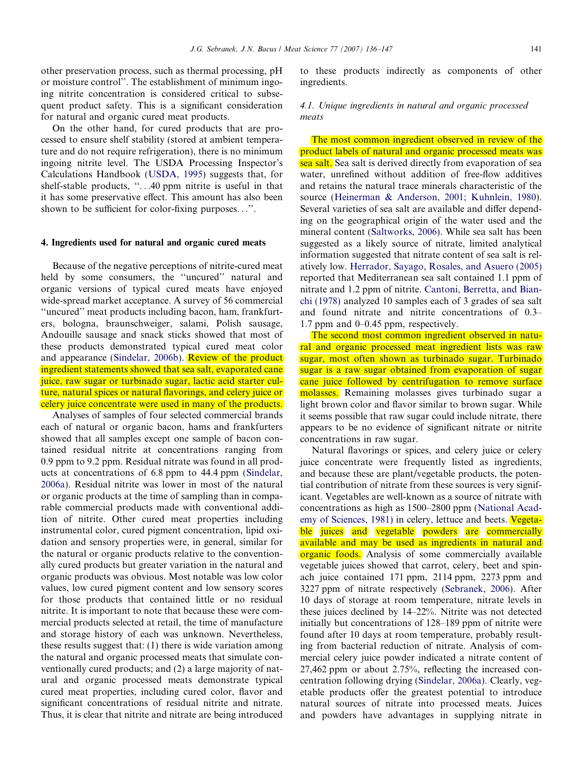other preservation process, such as thermal processing, pH or moisture control''. The establishment of minimum ingoing nitrite concentration is considered critical to subsequent product safety. This is a significant consideration for natural and organic cured meat products.

On the other hand, for cured products that are processed to ensure shelf stability (stored at ambient temperature and do not require refrigeration), there is no minimum ingoing nitrite level. The USDA Processing Inspector's Calculations Handbook ([USDA, 1995](#page-11-0)) suggests that, for shelf-stable products, ''...40 ppm nitrite is useful in that it has some preservative effect. This amount has also been shown to be sufficient for color-fixing purposes...''.

#### 4. Ingredients used for natural and organic cured meats

Because of the negative perceptions of nitrite-cured meat held by some consumers, the ''uncured'' natural and organic versions of typical cured meats have enjoyed wide-spread market acceptance. A survey of 56 commercial ''uncured'' meat products including bacon, ham, frankfurters, bologna, braunschweiger, salami, Polish sausage, Andouille sausage and snack sticks showed that most of these products demonstrated typical cured meat color and appearance [\(Sindelar, 2006b](#page-11-0)). Review of the product ingredient statements showed that sea salt, evaporated cane juice, raw sugar or turbinado sugar, lactic acid starter culture, natural spices or natural flavorings, and celery juice or celery juice concentrate were used in many of the products.

Analyses of samples of four selected commercial brands each of natural or organic bacon, hams and frankfurters showed that all samples except one sample of bacon contained residual nitrite at concentrations ranging from 0.9 ppm to 9.2 ppm. Residual nitrate was found in all products at concentrations of 6.8 ppm to 44.4 ppm ([Sindelar,](#page-11-0) [2006a](#page-11-0)). Residual nitrite was lower in most of the natural or organic products at the time of sampling than in comparable commercial products made with conventional addition of nitrite. Other cured meat properties including instrumental color, cured pigment concentration, lipid oxidation and sensory properties were, in general, similar for the natural or organic products relative to the conventionally cured products but greater variation in the natural and organic products was obvious. Most notable was low color values, low cured pigment content and low sensory scores for those products that contained little or no residual nitrite. It is important to note that because these were commercial products selected at retail, the time of manufacture and storage history of each was unknown. Nevertheless, these results suggest that: (1) there is wide variation among the natural and organic processed meats that simulate conventionally cured products; and (2) a large majority of natural and organic processed meats demonstrate typical cured meat properties, including cured color, flavor and significant concentrations of residual nitrite and nitrate. Thus, it is clear that nitrite and nitrate are being introduced to these products indirectly as components of other ingredients.

# 4.1. Unique ingredients in natural and organic processed meats

The most common ingredient observed in review of the product labels of natural and organic processed meats was sea salt. Sea salt is derived directly from evaporation of sea water, unrefined without addition of free-flow additives and retains the natural trace minerals characteristic of the source [\(Heinerman & Anderson, 2001; Kuhnlein, 1980\)](#page-10-0). Several varieties of sea salt are available and differ depending on the geographical origin of the water used and the mineral content [\(Saltworks, 2006\)](#page-11-0). While sea salt has been suggested as a likely source of nitrate, limited analytical information suggested that nitrate content of sea salt is relatively low. [Herrador, Sayago, Rosales, and Asuero \(2005\)](#page-10-0) reported that Mediterranean sea salt contained 1.1 ppm of nitrate and 1.2 ppm of nitrite. [Cantoni, Berretta, and Bian](#page-10-0)[chi \(1978\)](#page-10-0) analyzed 10 samples each of 3 grades of sea salt and found nitrate and nitrite concentrations of 0.3– 1.7 ppm and 0–0.45 ppm, respectively.

The second most common ingredient observed in natural and organic processed meat ingredient lists was raw sugar, most often shown as turbinado sugar. Turbinado sugar is a raw sugar obtained from evaporation of sugar cane juice followed by centrifugation to remove surface molasses. Remaining molasses gives turbinado sugar a light brown color and flavor similar to brown sugar. While it seems possible that raw sugar could include nitrate, there appears to be no evidence of significant nitrate or nitrite concentrations in raw sugar.

Natural flavorings or spices, and celery juice or celery juice concentrate were frequently listed as ingredients, and because these are plant/vegetable products, the potential contribution of nitrate from these sources is very significant. Vegetables are well-known as a source of nitrate with concentrations as high as 1500–2800 ppm ([National Acad](#page-11-0)[emy of Sciences, 1981\)](#page-11-0) in celery, lettuce and beets. Vegetable juices and vegetable powders are commercially available and may be used as ingredients in natural and organic foods. Analysis of some commercially available vegetable juices showed that carrot, celery, beet and spinach juice contained 171 ppm, 2114 ppm, 2273 ppm and 3227 ppm of nitrate respectively [\(Sebranek, 2006](#page-11-0)). After 10 days of storage at room temperature, nitrate levels in these juices declined by 14–22%. Nitrite was not detected initially but concentrations of 128–189 ppm of nitrite were found after 10 days at room temperature, probably resulting from bacterial reduction of nitrate. Analysis of commercial celery juice powder indicated a nitrate content of 27,462 ppm or about 2.75%, reflecting the increased concentration following drying [\(Sindelar, 2006a\)](#page-11-0). Clearly, vegetable products offer the greatest potential to introduce natural sources of nitrate into processed meats. Juices and powders have advantages in supplying nitrate in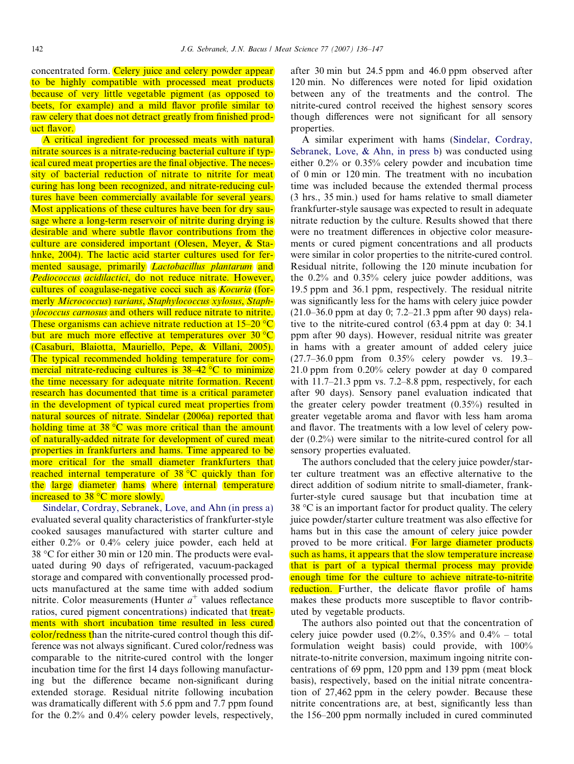concentrated form. Celery juice and celery powder appear to be highly compatible with processed meat products because of very little vegetable pigment (as opposed to beets, for example) and a mild flavor profile similar to raw celery that does not detract greatly from finished product flavor.

A critical ingredient for processed meats with natural nitrate sources is a nitrate-reducing bacterial culture if typical cured meat properties are the final objective. The necessity of bacterial reduction of nitrate to nitrite for meat curing has long been recognized, and nitrate-reducing cultures have been commercially available for several years. Most applications of these cultures have been for dry sausage where a long-term reservoir of nitrite during drying is desirable and where subtle flavor contributions from the culture are considered important ([Olesen, Meyer, & Sta](#page-11-0)[hnke, 2004](#page-11-0)). The lactic acid starter cultures used for fermented sausage, primarily *Lactobacillus plantarum* and Pediococcus acidilactici, do not reduce nitrate. However, cultures of coagulase-negative cocci such as Kocuria (formerly Micrococcus) varians, Staphylococcus xylosus, Staphylococcus carnosus and others will reduce nitrate to nitrite. These organisms can achieve nitrate reduction at  $15-20$  °C but are much more effective at temperatures over  $30^{\circ}$ C [\(Casaburi, Blaiotta, Mauriello, Pepe, & Villani, 2005\)](#page-10-0). The typical recommended holding temperature for commercial nitrate-reducing cultures is  $38-42$  °C to minimize the time necessary for adequate nitrite formation. Recent research has documented that time is a critical parameter in the development of typical cured meat properties from natural sources of nitrate. [Sindelar \(2006a\)](#page-11-0) reported that holding time at  $38^{\circ}$ C was more critical than the amount of naturally-added nitrate for development of cured meat properties in frankfurters and hams. Time appeared to be more critical for the small diameter frankfurters that reached internal temperature of  $38\,^{\circ}\text{C}$  quickly than for the large diameter hams where internal temperature increased to  $38^{\circ}$ C more slowly.

[Sindelar, Cordray, Sebranek, Love, and Ahn \(in press a\)](#page-11-0) evaluated several quality characteristics of frankfurter-style cooked sausages manufactured with starter culture and either 0.2% or 0.4% celery juice powder, each held at  $38 \degree$ C for either 30 min or 120 min. The products were evaluated during 90 days of refrigerated, vacuum-packaged storage and compared with conventionally processed products manufactured at the same time with added sodium nitrite. Color measurements (Hunter  $a^+$  values reflectance ratios, cured pigment concentrations) indicated that treatments with short incubation time resulted in less cured color/redness than the nitrite-cured control though this difference was not always significant. Cured color/redness was comparable to the nitrite-cured control with the longer incubation time for the first 14 days following manufacturing but the difference became non-significant during extended storage. Residual nitrite following incubation was dramatically different with 5.6 ppm and 7.7 ppm found for the 0.2% and 0.4% celery powder levels, respectively,

after 30 min but 24.5 ppm and 46.0 ppm observed after 120 min. No differences were noted for lipid oxidation between any of the treatments and the control. The nitrite-cured control received the highest sensory scores though differences were not significant for all sensory properties.

A similar experiment with hams ([Sindelar, Cordray,](#page-11-0) [Sebranek, Love, & Ahn, in press b](#page-11-0)) was conducted using either 0.2% or 0.35% celery powder and incubation time of 0 min or 120 min. The treatment with no incubation time was included because the extended thermal process (3 hrs., 35 min.) used for hams relative to small diameter frankfurter-style sausage was expected to result in adequate nitrate reduction by the culture. Results showed that there were no treatment differences in objective color measurements or cured pigment concentrations and all products were similar in color properties to the nitrite-cured control. Residual nitrite, following the 120 minute incubation for the 0.2% and 0.35% celery juice powder additions, was 19.5 ppm and 36.1 ppm, respectively. The residual nitrite was significantly less for the hams with celery juice powder (21.0–36.0 ppm at day 0; 7.2–21.3 ppm after 90 days) relative to the nitrite-cured control (63.4 ppm at day 0: 34.1 ppm after 90 days). However, residual nitrite was greater in hams with a greater amount of added celery juice (27.7–36.0 ppm from 0.35% celery powder vs. 19.3– 21.0 ppm from 0.20% celery powder at day 0 compared with 11.7–21.3 ppm vs. 7.2–8.8 ppm, respectively, for each after 90 days). Sensory panel evaluation indicated that the greater celery powder treatment (0.35%) resulted in greater vegetable aroma and flavor with less ham aroma and flavor. The treatments with a low level of celery powder (0.2%) were similar to the nitrite-cured control for all sensory properties evaluated.

The authors concluded that the celery juice powder/starter culture treatment was an effective alternative to the direct addition of sodium nitrite to small-diameter, frankfurter-style cured sausage but that incubation time at  $38 \text{ °C}$  is an important factor for product quality. The celery juice powder/starter culture treatment was also effective for hams but in this case the amount of celery juice powder proved to be more critical. For large diameter products such as hams, it appears that the slow temperature increase that is part of a typical thermal process may provide enough time for the culture to achieve nitrate-to-nitrite reduction. Further, the delicate flavor profile of hams makes these products more susceptible to flavor contributed by vegetable products.

The authors also pointed out that the concentration of celery juice powder used  $(0.2\%, 0.35\%$  and  $0.4\%$  – total formulation weight basis) could provide, with 100% nitrate-to-nitrite conversion, maximum ingoing nitrite concentrations of 69 ppm, 120 ppm and 139 ppm (meat block basis), respectively, based on the initial nitrate concentration of 27,462 ppm in the celery powder. Because these nitrite concentrations are, at best, significantly less than the 156–200 ppm normally included in cured comminuted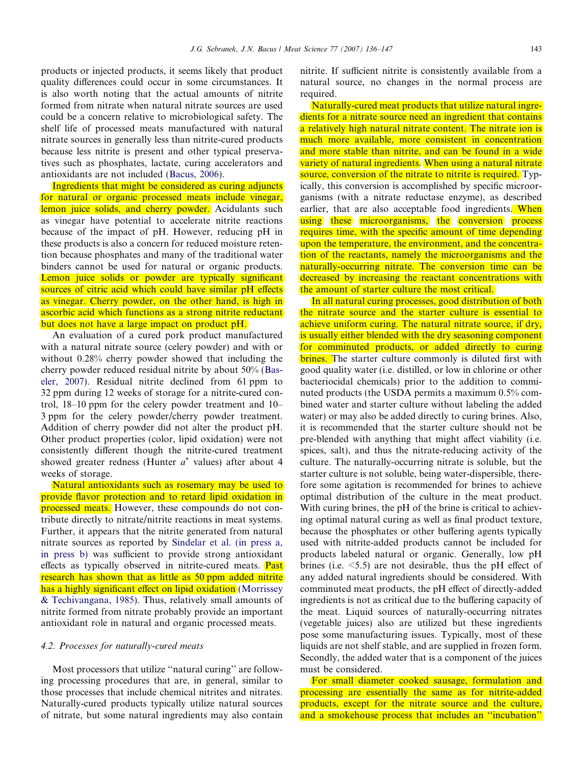products or injected products, it seems likely that product quality differences could occur in some circumstances. It is also worth noting that the actual amounts of nitrite formed from nitrate when natural nitrate sources are used could be a concern relative to microbiological safety. The shelf life of processed meats manufactured with natural nitrate sources in generally less than nitrite-cured products because less nitrite is present and other typical preservatives such as phosphates, lactate, curing accelerators and antioxidants are not included ([Bacus, 2006](#page-10-0)).

Ingredients that might be considered as curing adjuncts for natural or organic processed meats include vinegar, lemon juice solids, and cherry powder. Acidulants such as vinegar have potential to accelerate nitrite reactions because of the impact of pH. However, reducing pH in these products is also a concern for reduced moisture retention because phosphates and many of the traditional water binders cannot be used for natural or organic products. Lemon juice solids or powder are typically significant sources of citric acid which could have similar pH effects as vinegar. Cherry powder, on the other hand, is high in ascorbic acid which functions as a strong nitrite reductant but does not have a large impact on product pH.

An evaluation of a cured pork product manufactured with a natural nitrate source (celery powder) and with or without 0.28% cherry powder showed that including the cherry powder reduced residual nitrite by about 50% ([Bas](#page-10-0)[eler, 2007](#page-10-0)). Residual nitrite declined from 61 ppm to 32 ppm during 12 weeks of storage for a nitrite-cured control, 18–10 ppm for the celery powder treatment and 10– 3 ppm for the celery powder/cherry powder treatment. Addition of cherry powder did not alter the product pH. Other product properties (color, lipid oxidation) were not consistently different though the nitrite-cured treatment showed greater redness (Hunter  $a^*$  values) after about 4 weeks of storage.

Natural antioxidants such as rosemary may be used to provide flavor protection and to retard lipid oxidation in processed meats. However, these compounds do not contribute directly to nitrate/nitrite reactions in meat systems. Further, it appears that the nitrite generated from natural nitrate sources as reported by [Sindelar et al. \(in press a,](#page-11-0) [in press b\)](#page-11-0) was sufficient to provide strong antioxidant effects as typically observed in nitrite-cured meats. **Past** research has shown that as little as 50 ppm added nitrite has a highly significant effect on lipid oxidation ([Morrissey](#page-11-0) [& Techivangana, 1985](#page-11-0)). Thus, relatively small amounts of nitrite formed from nitrate probably provide an important antioxidant role in natural and organic processed meats.

## 4.2. Processes for naturally-cured meats

Most processors that utilize ''natural curing'' are following processing procedures that are, in general, similar to those processes that include chemical nitrites and nitrates. Naturally-cured products typically utilize natural sources of nitrate, but some natural ingredients may also contain nitrite. If sufficient nitrite is consistently available from a natural source, no changes in the normal process are required.

Naturally-cured meat products that utilize natural ingredients for a nitrate source need an ingredient that contains a relatively high natural nitrate content. The nitrate ion is much more available, more consistent in concentration and more stable than nitrite, and can be found in a wide variety of natural ingredients. When using a natural nitrate source, conversion of the nitrate to nitrite is required. Typically, this conversion is accomplished by specific microorganisms (with a nitrate reductase enzyme), as described earlier, that are also acceptable food ingredients. When using these microorganisms, the conversion process requires time, with the specific amount of time depending upon the temperature, the environment, and the concentration of the reactants, namely the microorganisms and the naturally-occurring nitrate. The conversion time can be decreased by increasing the reactant concentrations with the amount of starter culture the most critical.

In all natural curing processes, good distribution of both the nitrate source and the starter culture is essential to achieve uniform curing. The natural nitrate source, if dry, is usually either blended with the dry seasoning component for comminuted products, or added directly to curing **brines.** The starter culture commonly is diluted first with good quality water (i.e. distilled, or low in chlorine or other bacteriocidal chemicals) prior to the addition to comminuted products (the USDA permits a maximum 0.5% combined water and starter culture without labeling the added water) or may also be added directly to curing brines. Also, it is recommended that the starter culture should not be pre-blended with anything that might affect viability (i.e. spices, salt), and thus the nitrate-reducing activity of the culture. The naturally-occurring nitrate is soluble, but the starter culture is not soluble, being water-dispersible, therefore some agitation is recommended for brines to achieve optimal distribution of the culture in the meat product. With curing brines, the pH of the brine is critical to achieving optimal natural curing as well as final product texture, because the phosphates or other buffering agents typically used with nitrite-added products cannot be included for products labeled natural or organic. Generally, low pH brines (i.e. <5.5) are not desirable, thus the pH effect of any added natural ingredients should be considered. With comminuted meat products, the pH effect of directly-added ingredients is not as critical due to the buffering capacity of the meat. Liquid sources of naturally-occurring nitrates (vegetable juices) also are utilized but these ingredients pose some manufacturing issues. Typically, most of these liquids are not shelf stable, and are supplied in frozen form. Secondly, the added water that is a component of the juices must be considered.

For small diameter cooked sausage, formulation and processing are essentially the same as for nitrite-added products, except for the nitrate source and the culture, and a smokehouse process that includes an ''incubation''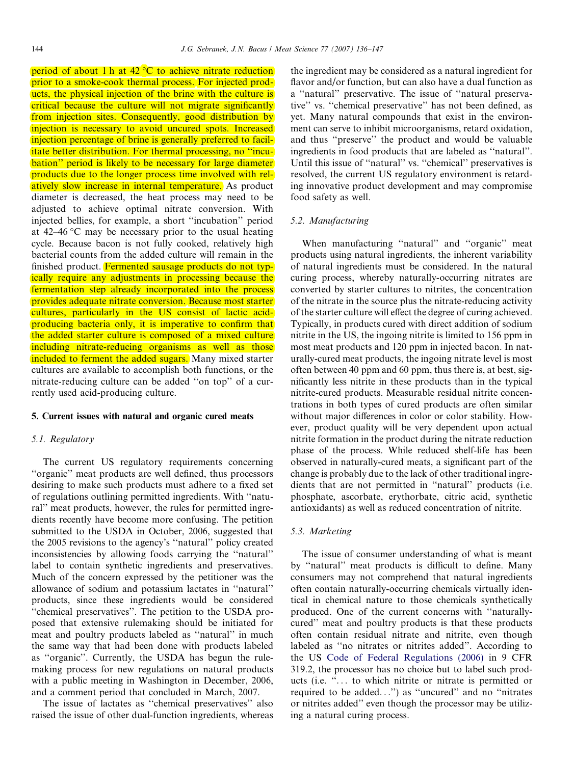period of about 1 h at  $42^{\circ}$ C to achieve nitrate reduction prior to a smoke-cook thermal process. For injected products, the physical injection of the brine with the culture is critical because the culture will not migrate significantly from injection sites. Consequently, good distribution by injection is necessary to avoid uncured spots. Increased injection percentage of brine is generally preferred to facilitate better distribution. For thermal processing, no ''incubation'' period is likely to be necessary for large diameter products due to the longer process time involved with relatively slow increase in internal temperature. As product diameter is decreased, the heat process may need to be adjusted to achieve optimal nitrate conversion. With injected bellies, for example, a short ''incubation'' period at  $42-46$  °C may be necessary prior to the usual heating cycle. Because bacon is not fully cooked, relatively high bacterial counts from the added culture will remain in the finished product. Fermented sausage products do not typically require any adjustments in processing because the fermentation step already incorporated into the process provides adequate nitrate conversion. Because most starter cultures, particularly in the US consist of lactic acidproducing bacteria only, it is imperative to confirm that the added starter culture is composed of a mixed culture including nitrate-reducing organisms as well as those included to ferment the added sugars. Many mixed starter cultures are available to accomplish both functions, or the nitrate-reducing culture can be added ''on top'' of a currently used acid-producing culture.

# 5. Current issues with natural and organic cured meats

# 5.1. Regulatory

The current US regulatory requirements concerning ''organic'' meat products are well defined, thus processors desiring to make such products must adhere to a fixed set of regulations outlining permitted ingredients. With ''natural'' meat products, however, the rules for permitted ingredients recently have become more confusing. The petition submitted to the USDA in October, 2006, suggested that the 2005 revisions to the agency's ''natural'' policy created inconsistencies by allowing foods carrying the ''natural'' label to contain synthetic ingredients and preservatives. Much of the concern expressed by the petitioner was the allowance of sodium and potassium lactates in ''natural'' products, since these ingredients would be considered ''chemical preservatives''. The petition to the USDA proposed that extensive rulemaking should be initiated for meat and poultry products labeled as ''natural'' in much the same way that had been done with products labeled as ''organic''. Currently, the USDA has begun the rulemaking process for new regulations on natural products with a public meeting in Washington in December, 2006, and a comment period that concluded in March, 2007.

The issue of lactates as ''chemical preservatives'' also raised the issue of other dual-function ingredients, whereas

the ingredient may be considered as a natural ingredient for flavor and/or function, but can also have a dual function as a ''natural'' preservative. The issue of ''natural preservative'' vs. ''chemical preservative'' has not been defined, as yet. Many natural compounds that exist in the environment can serve to inhibit microorganisms, retard oxidation, and thus ''preserve'' the product and would be valuable ingredients in food products that are labeled as ''natural''. Until this issue of ''natural'' vs. ''chemical'' preservatives is resolved, the current US regulatory environment is retarding innovative product development and may compromise food safety as well.

# 5.2. Manufacturing

When manufacturing ''natural'' and ''organic'' meat products using natural ingredients, the inherent variability of natural ingredients must be considered. In the natural curing process, whereby naturally-occurring nitrates are converted by starter cultures to nitrites, the concentration of the nitrate in the source plus the nitrate-reducing activity of the starter culture will effect the degree of curing achieved. Typically, in products cured with direct addition of sodium nitrite in the US, the ingoing nitrite is limited to 156 ppm in most meat products and 120 ppm in injected bacon. In naturally-cured meat products, the ingoing nitrate level is most often between 40 ppm and 60 ppm, thus there is, at best, significantly less nitrite in these products than in the typical nitrite-cured products. Measurable residual nitrite concentrations in both types of cured products are often similar without major differences in color or color stability. However, product quality will be very dependent upon actual nitrite formation in the product during the nitrate reduction phase of the process. While reduced shelf-life has been observed in naturally-cured meats, a significant part of the change is probably due to the lack of other traditional ingredients that are not permitted in ''natural'' products (i.e. phosphate, ascorbate, erythorbate, citric acid, synthetic antioxidants) as well as reduced concentration of nitrite.

# 5.3. Marketing

The issue of consumer understanding of what is meant by ''natural'' meat products is difficult to define. Many consumers may not comprehend that natural ingredients often contain naturally-occurring chemicals virtually identical in chemical nature to those chemicals synthetically produced. One of the current concerns with ''naturallycured'' meat and poultry products is that these products often contain residual nitrate and nitrite, even though labeled as ''no nitrates or nitrites added''. According to the US [Code of Federal Regulations \(2006\)](#page-10-0) in 9 CFR 319.2, the processor has no choice but to label such products (i.e. ''... to which nitrite or nitrate is permitted or required to be added...'') as ''uncured'' and no ''nitrates or nitrites added'' even though the processor may be utilizing a natural curing process.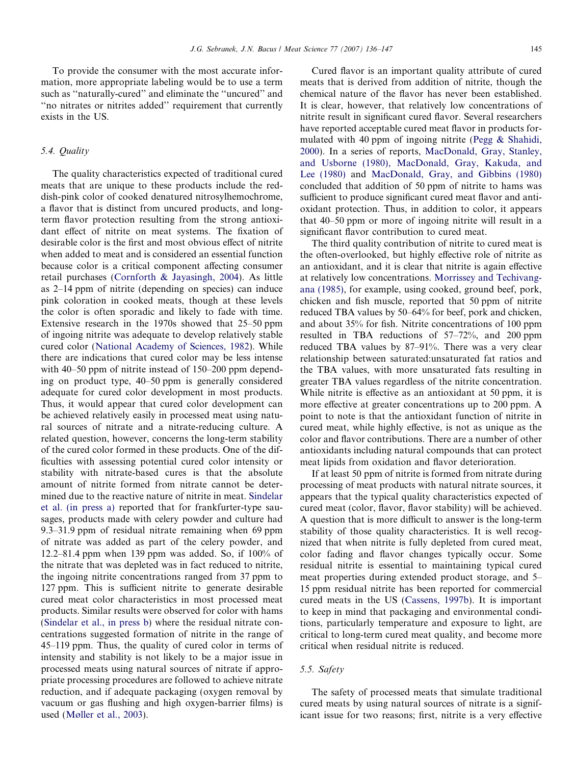To provide the consumer with the most accurate information, more appropriate labeling would be to use a term such as ''naturally-cured'' and eliminate the ''uncured'' and ''no nitrates or nitrites added'' requirement that currently exists in the US.

# 5.4. Quality

The quality characteristics expected of traditional cured meats that are unique to these products include the reddish-pink color of cooked denatured nitrosylhemochrome, a flavor that is distinct from uncured products, and longterm flavor protection resulting from the strong antioxidant effect of nitrite on meat systems. The fixation of desirable color is the first and most obvious effect of nitrite when added to meat and is considered an essential function because color is a critical component affecting consumer retail purchases ([Cornforth & Jayasingh, 2004\)](#page-10-0). As little as 2–14 ppm of nitrite (depending on species) can induce pink coloration in cooked meats, though at these levels the color is often sporadic and likely to fade with time. Extensive research in the 1970s showed that 25–50 ppm of ingoing nitrite was adequate to develop relatively stable cured color ([National Academy of Sciences, 1982\)](#page-11-0). While there are indications that cured color may be less intense with 40–50 ppm of nitrite instead of 150–200 ppm depending on product type, 40–50 ppm is generally considered adequate for cured color development in most products. Thus, it would appear that cured color development can be achieved relatively easily in processed meat using natural sources of nitrate and a nitrate-reducing culture. A related question, however, concerns the long-term stability of the cured color formed in these products. One of the difficulties with assessing potential cured color intensity or stability with nitrate-based cures is that the absolute amount of nitrite formed from nitrate cannot be determined due to the reactive nature of nitrite in meat. [Sindelar](#page-11-0) [et al. \(in press a\)](#page-11-0) reported that for frankfurter-type sausages, products made with celery powder and culture had 9.3–31.9 ppm of residual nitrate remaining when 69 ppm of nitrate was added as part of the celery powder, and 12.2–81.4 ppm when 139 ppm was added. So, if 100% of the nitrate that was depleted was in fact reduced to nitrite, the ingoing nitrite concentrations ranged from 37 ppm to 127 ppm. This is sufficient nitrite to generate desirable cured meat color characteristics in most processed meat products. Similar results were observed for color with hams ([Sindelar et al., in press b](#page-11-0)) where the residual nitrate concentrations suggested formation of nitrite in the range of 45–119 ppm. Thus, the quality of cured color in terms of intensity and stability is not likely to be a major issue in processed meats using natural sources of nitrate if appropriate processing procedures are followed to achieve nitrate reduction, and if adequate packaging (oxygen removal by vacuum or gas flushing and high oxygen-barrier films) is used [\(Møller et al., 2003](#page-11-0)).

Cured flavor is an important quality attribute of cured meats that is derived from addition of nitrite, though the chemical nature of the flavor has never been established. It is clear, however, that relatively low concentrations of nitrite result in significant cured flavor. Several researchers have reported acceptable cured meat flavor in products formulated with 40 ppm of ingoing nitrite [\(Pegg & Shahidi,](#page-11-0) [2000](#page-11-0)). In a series of reports, [MacDonald, Gray, Stanley,](#page-11-0) [and Usborne \(1980\), MacDonald, Gray, Kakuda, and](#page-11-0) [Lee \(1980\)](#page-11-0) and [MacDonald, Gray, and Gibbins \(1980\)](#page-11-0) concluded that addition of 50 ppm of nitrite to hams was sufficient to produce significant cured meat flavor and antioxidant protection. Thus, in addition to color, it appears that 40–50 ppm or more of ingoing nitrite will result in a significant flavor contribution to cured meat.

The third quality contribution of nitrite to cured meat is the often-overlooked, but highly effective role of nitrite as an antioxidant, and it is clear that nitrite is again effective at relatively low concentrations. [Morrissey and Techivang](#page-11-0)[ana \(1985\),](#page-11-0) for example, using cooked, ground beef, pork, chicken and fish muscle, reported that 50 ppm of nitrite reduced TBA values by 50–64% for beef, pork and chicken, and about 35% for fish. Nitrite concentrations of 100 ppm resulted in TBA reductions of 57–72%, and 200 ppm reduced TBA values by 87–91%. There was a very clear relationship between saturated:unsaturated fat ratios and the TBA values, with more unsaturated fats resulting in greater TBA values regardless of the nitrite concentration. While nitrite is effective as an antioxidant at 50 ppm, it is more effective at greater concentrations up to 200 ppm. A point to note is that the antioxidant function of nitrite in cured meat, while highly effective, is not as unique as the color and flavor contributions. There are a number of other antioxidants including natural compounds that can protect meat lipids from oxidation and flavor deterioration.

If at least 50 ppm of nitrite is formed from nitrate during processing of meat products with natural nitrate sources, it appears that the typical quality characteristics expected of cured meat (color, flavor, flavor stability) will be achieved. A question that is more difficult to answer is the long-term stability of those quality characteristics. It is well recognized that when nitrite is fully depleted from cured meat, color fading and flavor changes typically occur. Some residual nitrite is essential to maintaining typical cured meat properties during extended product storage, and 5– 15 ppm residual nitrite has been reported for commercial cured meats in the US [\(Cassens, 1997b\)](#page-10-0). It is important to keep in mind that packaging and environmental conditions, particularly temperature and exposure to light, are critical to long-term cured meat quality, and become more critical when residual nitrite is reduced.

## 5.5. Safety

The safety of processed meats that simulate traditional cured meats by using natural sources of nitrate is a significant issue for two reasons; first, nitrite is a very effective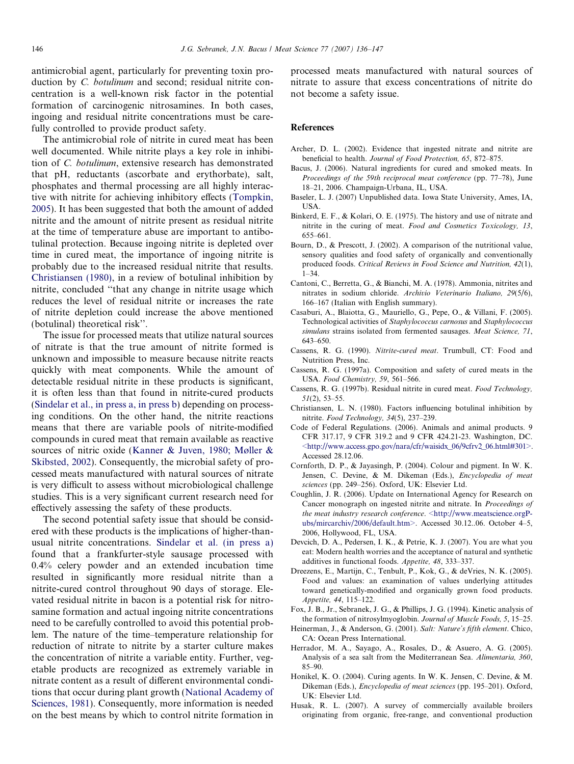<span id="page-10-0"></span>antimicrobial agent, particularly for preventing toxin production by C. botulinum and second; residual nitrite concentration is a well-known risk factor in the potential formation of carcinogenic nitrosamines. In both cases, ingoing and residual nitrite concentrations must be carefully controlled to provide product safety.

The antimicrobial role of nitrite in cured meat has been well documented. While nitrite plays a key role in inhibition of C. botulinum, extensive research has demonstrated that pH, reductants (ascorbate and erythorbate), salt, phosphates and thermal processing are all highly interactive with nitrite for achieving inhibitory effects [\(Tompkin,](#page-11-0) [2005\)](#page-11-0). It has been suggested that both the amount of added nitrite and the amount of nitrite present as residual nitrite at the time of temperature abuse are important to antibotulinal protection. Because ingoing nitrite is depleted over time in cured meat, the importance of ingoing nitrite is probably due to the increased residual nitrite that results. Christiansen (1980), in a review of botulinal inhibition by nitrite, concluded ''that any change in nitrite usage which reduces the level of residual nitrite or increases the rate of nitrite depletion could increase the above mentioned (botulinal) theoretical risk''.

The issue for processed meats that utilize natural sources of nitrate is that the true amount of nitrite formed is unknown and impossible to measure because nitrite reacts quickly with meat components. While the amount of detectable residual nitrite in these products is significant, it is often less than that found in nitrite-cured products [\(Sindelar et al., in press a, in press b\)](#page-11-0) depending on processing conditions. On the other hand, the nitrite reactions means that there are variable pools of nitrite-modified compounds in cured meat that remain available as reactive sources of nitric oxide [\(Kanner & Juven, 1980; Møller &](#page-11-0) [Skibsted, 2002](#page-11-0)). Consequently, the microbial safety of processed meats manufactured with natural sources of nitrate is very difficult to assess without microbiological challenge studies. This is a very significant current research need for effectively assessing the safety of these products.

The second potential safety issue that should be considered with these products is the implications of higher-thanusual nitrite concentrations. [Sindelar et al. \(in press a\)](#page-11-0) found that a frankfurter-style sausage processed with 0.4% celery powder and an extended incubation time resulted in significantly more residual nitrite than a nitrite-cured control throughout 90 days of storage. Elevated residual nitrite in bacon is a potential risk for nitrosamine formation and actual ingoing nitrite concentrations need to be carefully controlled to avoid this potential problem. The nature of the time–temperature relationship for reduction of nitrate to nitrite by a starter culture makes the concentration of nitrite a variable entity. Further, vegetable products are recognized as extremely variable in nitrate content as a result of different environmental conditions that occur during plant growth [\(National Academy of](#page-11-0) [Sciences, 1981](#page-11-0)). Consequently, more information is needed on the best means by which to control nitrite formation in processed meats manufactured with natural sources of nitrate to assure that excess concentrations of nitrite do not become a safety issue.

#### **References**

- Archer, D. L. (2002). Evidence that ingested nitrate and nitrite are beneficial to health. Journal of Food Protection, 65, 872–875.
- Bacus, J. (2006). Natural ingredients for cured and smoked meats. In Proceedings of the 59th reciprocal meat conference (pp. 77–78), June 18–21, 2006. Champaign-Urbana, IL, USA.
- Baseler, L. J. (2007) Unpublished data. Iowa State University, Ames, IA, USA.
- Binkerd, E. F., & Kolari, O. E. (1975). The history and use of nitrate and nitrite in the curing of meat. Food and Cosmetics Toxicology, 13, 655–661.
- Bourn, D., & Prescott, J. (2002). A comparison of the nutritional value, sensory qualities and food safety of organically and conventionally produced foods. Critical Reviews in Food Science and Nutrition, 42(1), 1–34.
- Cantoni, C., Berretta, G., & Bianchi, M. A. (1978). Ammonia, nitrites and nitrates in sodium chloride. Archivio Veterinario Italiano, 29(5/6), 166–167 (Italian with English summary).
- Casaburi, A., Blaiotta, G., Mauriello, G., Pepe, O., & Villani, F. (2005). Technological activities of Staphylococcus carnosus and Staphylococcus simulans strains isolated from fermented sausages. Meat Science, 71, 643–650.
- Cassens, R. G. (1990). Nitrite-cured meat. Trumbull, CT: Food and Nutrition Press, Inc.
- Cassens, R. G. (1997a). Composition and safety of cured meats in the USA. Food Chemistry, 59, 561–566.
- Cassens, R. G. (1997b). Residual nitrite in cured meat. Food Technology, 51(2), 53–55.
- Christiansen, L. N. (1980). Factors influencing botulinal inhibition by nitrite. Food Technology, 34(5), 237–239.
- Code of Federal Regulations. (2006). Animals and animal products. 9 CFR 317.17, 9 CFR 319.2 and 9 CFR 424.21-23. Washington, DC. [<http://www.access.gpo.gov/nara/cfr/waisidx\\_06/9cfrv2\\_06.html#301>](http://www.access.gpo.gov/nara/cfr/waisidx_06/9cfrv2_06.html#301). Accessed 28.12.06.
- Cornforth, D. P., & Jayasingh, P. (2004). Colour and pigment. In W. K. Jensen, C. Devine, & M. Dikeman (Eds.), Encyclopedia of meat sciences (pp. 249–256). Oxford, UK: Elsevier Ltd.
- Coughlin, J. R. (2006). Update on International Agency for Research on Cancer monograph on ingested nitrite and nitrate. In Proceedings of the meat industry research conference. [<http://www.meatscience.orgP](http://www.meatscience.org/Pubs/mircarchiv/2006/default.htm)[ubs/mircarchiv/2006/default.htm>](http://www.meatscience.org/Pubs/mircarchiv/2006/default.htm). Accessed 30.12..06. October 4–5, 2006, Hollywood, FL, USA.
- Devcich, D. A., Pedersen, I. K., & Petrie, K. J. (2007). You are what you eat: Modern health worries and the acceptance of natural and synthetic additives in functional foods. Appetite, 48, 333–337.
- Dreezens, E., Martijn, C., Tenbult, P., Kok, G., & deVries, N. K. (2005). Food and values: an examination of values underlying attitudes toward genetically-modified and organically grown food products. Appetite, 44, 115–122.
- Fox, J. B., Jr., Sebranek, J. G., & Phillips, J. G. (1994). Kinetic analysis of the formation of nitrosylmyoglobin. Journal of Muscle Foods, 5, 15–25.
- Heinerman, J., & Anderson, G. (2001). Salt: Nature's fifth element. Chico, CA: Ocean Press International.
- Herrador, M. A., Sayago, A., Rosales, D., & Asuero, A. G. (2005). Analysis of a sea salt from the Mediterranean Sea. Alimentaria, 360, 85–90.
- Honikel, K. O. (2004). Curing agents. In W. K. Jensen, C. Devine, & M. Dikeman (Eds.), Encyclopedia of meat sciences (pp. 195–201). Oxford, UK: Elsevier Ltd.
- Husak, R. L. (2007). A survey of commercially available broilers originating from organic, free-range, and conventional production